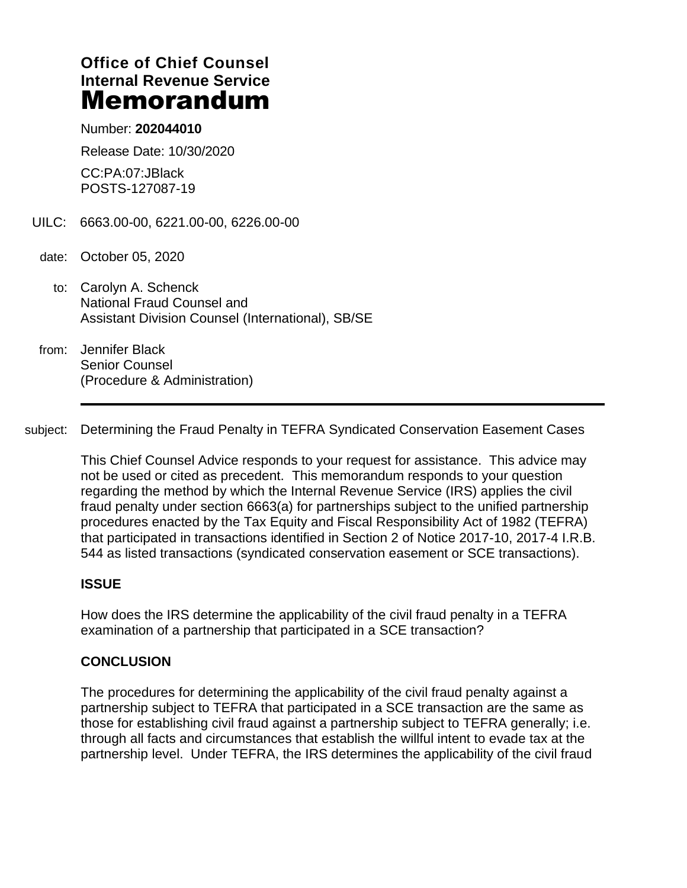# **Office of Chief Counsel Internal Revenue Service** Memorandum

Number: **202044010**

Release Date: 10/30/2020

CC:PA:07:JBlack POSTS-127087-19

- UILC: 6663.00-00, 6221.00-00, 6226.00-00
- date: October 05, 2020
	- to: Carolyn A. Schenck National Fraud Counsel and Assistant Division Counsel (International), SB/SE
- from: Jennifer Black Senior Counsel (Procedure & Administration)

subject: Determining the Fraud Penalty in TEFRA Syndicated Conservation Easement Cases

This Chief Counsel Advice responds to your request for assistance. This advice may not be used or cited as precedent. This memorandum responds to your question regarding the method by which the Internal Revenue Service (IRS) applies the civil fraud penalty under section 6663(a) for partnerships subject to the unified partnership procedures enacted by the Tax Equity and Fiscal Responsibility Act of 1982 (TEFRA) that participated in transactions identified in Section 2 of Notice 2017-10, 2017-4 I.R.B. 544 as listed transactions (syndicated conservation easement or SCE transactions).

#### **ISSUE**

How does the IRS determine the applicability of the civil fraud penalty in a TEFRA examination of a partnership that participated in a SCE transaction?

### **CONCLUSION**

The procedures for determining the applicability of the civil fraud penalty against a partnership subject to TEFRA that participated in a SCE transaction are the same as those for establishing civil fraud against a partnership subject to TEFRA generally; i.e. through all facts and circumstances that establish the willful intent to evade tax at the partnership level. Under TEFRA, the IRS determines the applicability of the civil fraud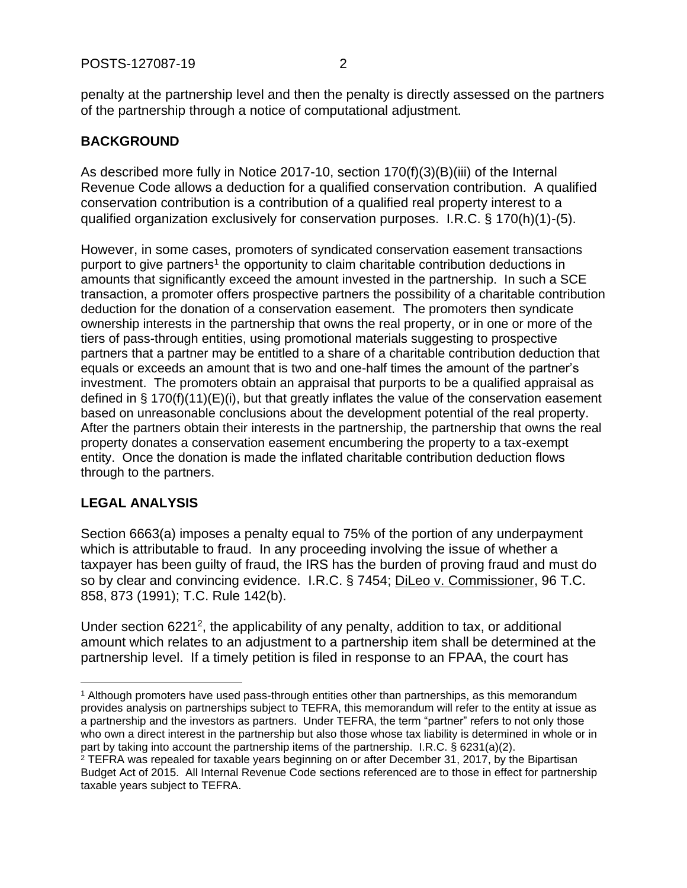penalty at the partnership level and then the penalty is directly assessed on the partners of the partnership through a notice of computational adjustment.

## **BACKGROUND**

As described more fully in Notice 2017-10, section 170(f)(3)(B)(iii) of the Internal Revenue Code allows a deduction for a qualified conservation contribution. A qualified conservation contribution is a contribution of a qualified real property interest to a qualified organization exclusively for conservation purposes. I.R.C. § 170(h)(1)-(5).

However, in some cases, promoters of syndicated conservation easement transactions purport to give partners<sup>1</sup> the opportunity to claim charitable contribution deductions in amounts that significantly exceed the amount invested in the partnership. In such a SCE transaction, a promoter offers prospective partners the possibility of a charitable contribution deduction for the donation of a conservation easement. The promoters then syndicate ownership interests in the partnership that owns the real property, or in one or more of the tiers of pass-through entities, using promotional materials suggesting to prospective partners that a partner may be entitled to a share of a charitable contribution deduction that equals or exceeds an amount that is two and one-half times the amount of the partner's investment. The promoters obtain an appraisal that purports to be a qualified appraisal as defined in § 170(f)(11)(E)(i), but that greatly inflates the value of the conservation easement based on unreasonable conclusions about the development potential of the real property. After the partners obtain their interests in the partnership, the partnership that owns the real property donates a conservation easement encumbering the property to a tax-exempt entity. Once the donation is made the inflated charitable contribution deduction flows through to the partners.

### **LEGAL ANALYSIS**

Section 6663(a) imposes a penalty equal to 75% of the portion of any underpayment which is attributable to fraud. In any proceeding involving the issue of whether a taxpayer has been guilty of fraud, the IRS has the burden of proving fraud and must do so by clear and convincing evidence. I.R.C. § 7454; DiLeo v. Commissioner, 96 T.C. 858, 873 (1991); T.C. Rule 142(b).

Under section  $6221^2$ , the applicability of any penalty, addition to tax, or additional amount which relates to an adjustment to a partnership item shall be determined at the partnership level. If a timely petition is filed in response to an FPAA, the court has

<sup>1</sup> Although promoters have used pass-through entities other than partnerships, as this memorandum provides analysis on partnerships subject to TEFRA, this memorandum will refer to the entity at issue as a partnership and the investors as partners. Under TEFRA, the term "partner" refers to not only those who own a direct interest in the partnership but also those whose tax liability is determined in whole or in part by taking into account the partnership items of the partnership. I.R.C. § 6231(a)(2). <sup>2</sup> TEFRA was repealed for taxable years beginning on or after December 31, 2017, by the Bipartisan

Budget Act of 2015. All Internal Revenue Code sections referenced are to those in effect for partnership taxable years subject to TEFRA.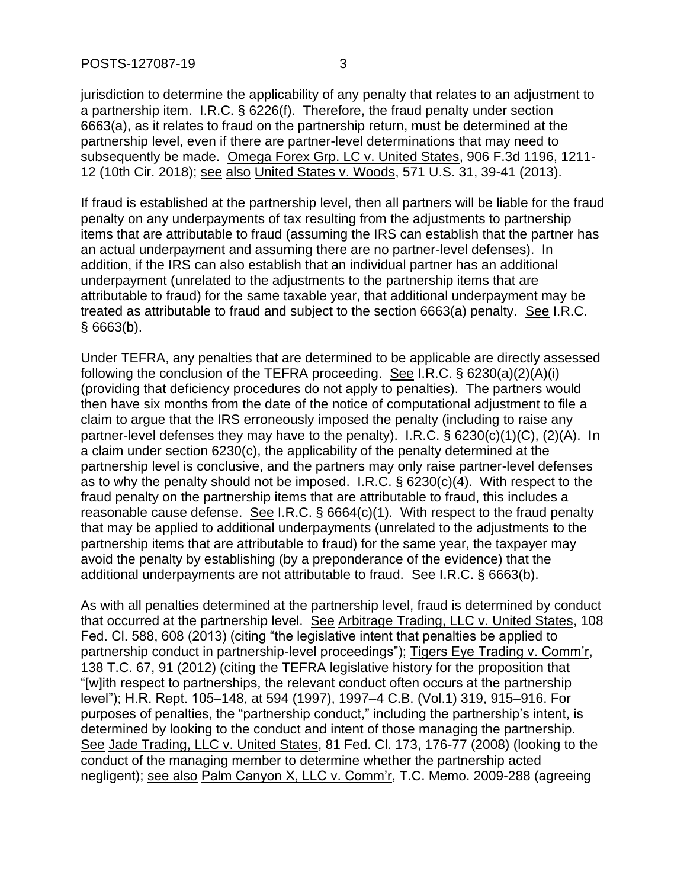jurisdiction to determine the applicability of any penalty that relates to an adjustment to a partnership item. I.R.C. § 6226(f). Therefore, the fraud penalty under section 6663(a), as it relates to fraud on the partnership return, must be determined at the partnership level, even if there are partner-level determinations that may need to subsequently be made. Omega Forex Grp. LC v. United States, 906 F.3d 1196, 1211- 12 (10th Cir. 2018); see also United States v. Woods, 571 U.S. 31, 39-41 (2013).

If fraud is established at the partnership level, then all partners will be liable for the fraud penalty on any underpayments of tax resulting from the adjustments to partnership items that are attributable to fraud (assuming the IRS can establish that the partner has an actual underpayment and assuming there are no partner-level defenses). In addition, if the IRS can also establish that an individual partner has an additional underpayment (unrelated to the adjustments to the partnership items that are attributable to fraud) for the same taxable year, that additional underpayment may be treated as attributable to fraud and subject to the section 6663(a) penalty. See I.R.C. § 6663(b).

Under TEFRA, any penalties that are determined to be applicable are directly assessed following the conclusion of the TEFRA proceeding. See I.R.C.  $\S$  6230(a)(2)(A)(i) (providing that deficiency procedures do not apply to penalties). The partners would then have six months from the date of the notice of computational adjustment to file a claim to argue that the IRS erroneously imposed the penalty (including to raise any partner-level defenses they may have to the penalty). I.R.C. § 6230(c)(1)(C), (2)(A). In a claim under section 6230(c), the applicability of the penalty determined at the partnership level is conclusive, and the partners may only raise partner-level defenses as to why the penalty should not be imposed. I.R.C. § 6230(c)(4). With respect to the fraud penalty on the partnership items that are attributable to fraud, this includes a reasonable cause defense. See I.R.C. § 6664(c)(1). With respect to the fraud penalty that may be applied to additional underpayments (unrelated to the adjustments to the partnership items that are attributable to fraud) for the same year, the taxpayer may avoid the penalty by establishing (by a preponderance of the evidence) that the additional underpayments are not attributable to fraud. See I.R.C. § 6663(b).

As with all penalties determined at the partnership level, fraud is determined by conduct that occurred at the partnership level. See Arbitrage Trading, LLC v. United States, 108 Fed. Cl. 588, 608 (2013) (citing "the legislative intent that penalties be applied to partnership conduct in partnership-level proceedings"); Tigers Eye Trading v. Comm'r, 138 T.C. 67, 91 (2012) (citing the TEFRA legislative history for the proposition that "[w]ith respect to partnerships, the relevant conduct often occurs at the partnership level"); H.R. Rept. 105–148, at 594 (1997), 1997–4 C.B. (Vol.1) 319, 915–916. For purposes of penalties, the "partnership conduct," including the partnership's intent, is determined by looking to the conduct and intent of those managing the partnership. See Jade Trading, LLC v. United States, 81 Fed. Cl. 173, 176-77 (2008) (looking to the conduct of the managing member to determine whether the partnership acted negligent); see also Palm Canyon X, LLC v. Comm'r, T.C. Memo. 2009-288 (agreeing